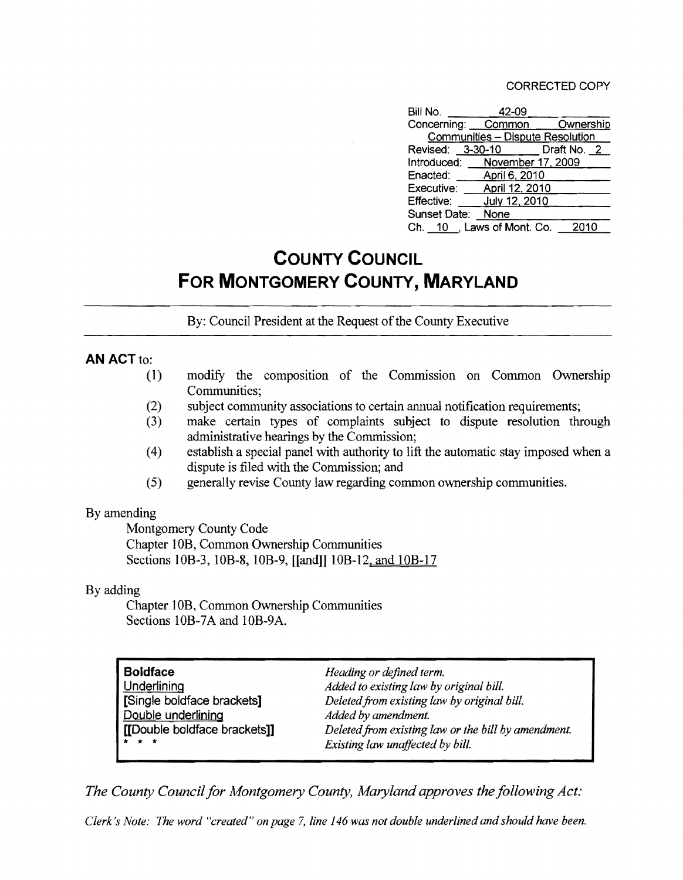| Bill No.          | 42-09                            |                              |
|-------------------|----------------------------------|------------------------------|
|                   |                                  | Concerning: Common Ownership |
|                   | Communities - Dispute Resolution |                              |
|                   | Revised: 3-30-10 Draft No. 2     |                              |
|                   | Introduced: November 17, 2009    |                              |
|                   | Enacted: April 6, 2010           |                              |
|                   | Executive: April 12, 2010        |                              |
| Effective:        | July 12, 2010                    |                              |
| Sunset Date: None |                                  |                              |
|                   | Ch. 10, Laws of Mont. Co.        | 2010                         |

## **COUNTY COUNCIL FOR MONTGOMERY COUNTY, MARYLAND**

By: Council President at the Request of the County Executive

## **AN** ACT to:

- (1) modifY the composition of the Commission on Common Ownership Communities;
- (2) subject community associations to certain annual notification requirements;
- (3) make certain types of complaints subject to dispute resolution through administrative hearings by the Commission;
- (4) establish a special panel with authority to lift the automatic stay imposed when a dispute is filed with the Commission; and
- (5) generally revise County law regarding common ownership communities.

## By amending

Montgomery County Code Chapter lOB, Common Ownership Communities Sections 10B-3, 10B-8, 10B-9, [[and]] 10B-12, and 10B-17

## By adding

Chapter lOB, Common Ownership Communities Sections 10B-7A and 10B-9A.

| <b>Boldface</b>              | Heading or defined term.                            |
|------------------------------|-----------------------------------------------------|
| Underlining                  | Added to existing law by original bill.             |
| [Single boldface brackets]   | Deleted from existing law by original bill.         |
| Double underlining           | Added by amendment.                                 |
| [[Double boldface brackets]] | Deleted from existing law or the bill by amendment. |
| $\star$ $\star$ $\star$      | Existing law unaffected by bill.                    |

*The County Council for Montgomery County, Maryland approves the following Act:* 

*Clerk's Note: The word "created" on page* 7, *line* 146 *was not double underlined and should have been.*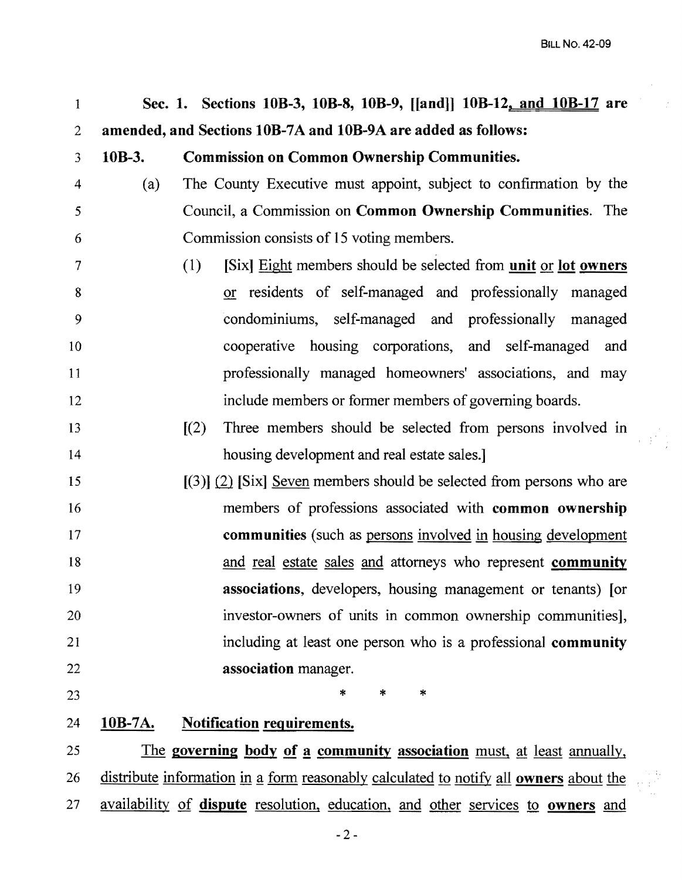$\begin{smallmatrix}&&&1\\&&3\\3&&2\\&&&2\end{smallmatrix}$ 

| $\mathbf{1}$             |                                                               | Sec. 1. Sections 10B-3, 10B-8, 10B-9, [[and]] 10B-12, and 10B-17 are    |  |  |  |  |  |
|--------------------------|---------------------------------------------------------------|-------------------------------------------------------------------------|--|--|--|--|--|
| $\overline{2}$           | amended, and Sections 10B-7A and 10B-9A are added as follows: |                                                                         |  |  |  |  |  |
| 3                        | $10B-3.$                                                      | <b>Commission on Common Ownership Communities.</b>                      |  |  |  |  |  |
| $\overline{4}$           | (a)                                                           | The County Executive must appoint, subject to confirmation by the       |  |  |  |  |  |
| 5                        |                                                               | Council, a Commission on <b>Common Ownership Communities</b> . The      |  |  |  |  |  |
| 6                        |                                                               | Commission consists of 15 voting members.                               |  |  |  |  |  |
| $\overline{\mathcal{L}}$ |                                                               | [Six] Eight members should be selected from unit or lot owners<br>(1)   |  |  |  |  |  |
| 8                        |                                                               | or residents of self-managed and professionally managed                 |  |  |  |  |  |
| 9                        |                                                               | condominiums, self-managed and professionally managed                   |  |  |  |  |  |
| 10                       |                                                               | cooperative housing corporations, and self-managed<br>and               |  |  |  |  |  |
| 11                       |                                                               | professionally managed homeowners' associations, and may                |  |  |  |  |  |
| 12                       |                                                               | include members or former members of governing boards.                  |  |  |  |  |  |
| 13                       |                                                               | [(2)]<br>Three members should be selected from persons involved in      |  |  |  |  |  |
| 14                       |                                                               | housing development and real estate sales.]                             |  |  |  |  |  |
| 15                       |                                                               | $(3)$ $(2)$ [Six] Seven members should be selected from persons who are |  |  |  |  |  |
| 16                       |                                                               | members of professions associated with common ownership                 |  |  |  |  |  |
| 17                       |                                                               | <b>communities</b> (such as persons involved in housing development     |  |  |  |  |  |
| 18                       |                                                               | and real estate sales and attorneys who represent <b>community</b>      |  |  |  |  |  |
| 19                       |                                                               | associations, developers, housing management or tenants) [or            |  |  |  |  |  |
| 20                       |                                                               | investor-owners of units in common ownership communities],              |  |  |  |  |  |
| 21                       |                                                               | including at least one person who is a professional community           |  |  |  |  |  |
| 22                       |                                                               | association manager.                                                    |  |  |  |  |  |
| 23                       |                                                               | $\ast$<br>*<br>*                                                        |  |  |  |  |  |
| 24                       | 10B-7A.                                                       | <b>Notification requirements.</b>                                       |  |  |  |  |  |

25 26 27 The governing body of a community association must, at least annually, distribute information in a form reasonably calculated to notify all owners about the availability of dispute resolution, education, and other services to owners and

 $-2-$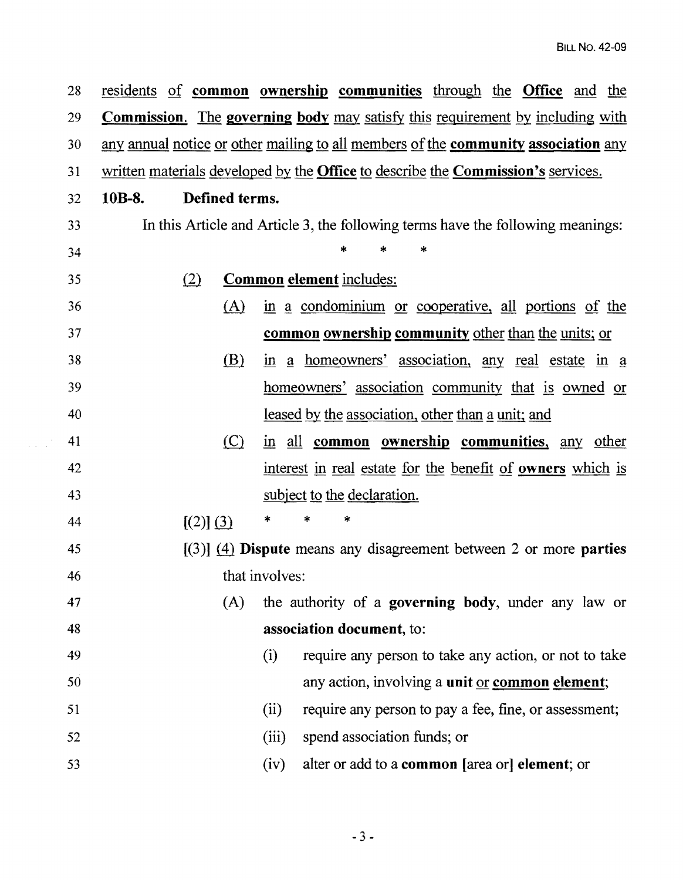28 residents of common ownership communities through the Office and the 29 Commission. The governing body may satisfy this requirement by including with 30 any annual notice or other mailing to all members of the **community association** any 31 written materials developed by the Office to describe the Commission's services. 32 lOB-8. Defined terms. 33 In this Article and Article 3, the following terms have the following meanings:  $34$  \* \* \* 35 Common element includes: 36 (A) in a condominium or cooperative, all portions of the 37 common ownership community other than the units; or 38 (B) in a homeowners' association, any real estate in a 39 homeowners' association community that is owned or 40 leased by the association, other than a unit; and 41 (C) in all **common ownership communities**, any other 42 interest in real estate for the benefit of owners which is 43 subject to the declaration. 44  $[(2)] (3) * * * *$ 45  $[(3)]$  (4) **Dispute** means any disagreement between 2 or more **parties** 46 that involves: 47 (A) the authority of a governing body, under any law or 48 association document, to: 49 (i) require any person to take any action, or not to take 50 any action, involving a unit or common element; 51 (ii) require any person to pay a fee, fine, or assessment; 52 (iii) spend association funds; or 53 (iv) alter or add to a common [area or] element; or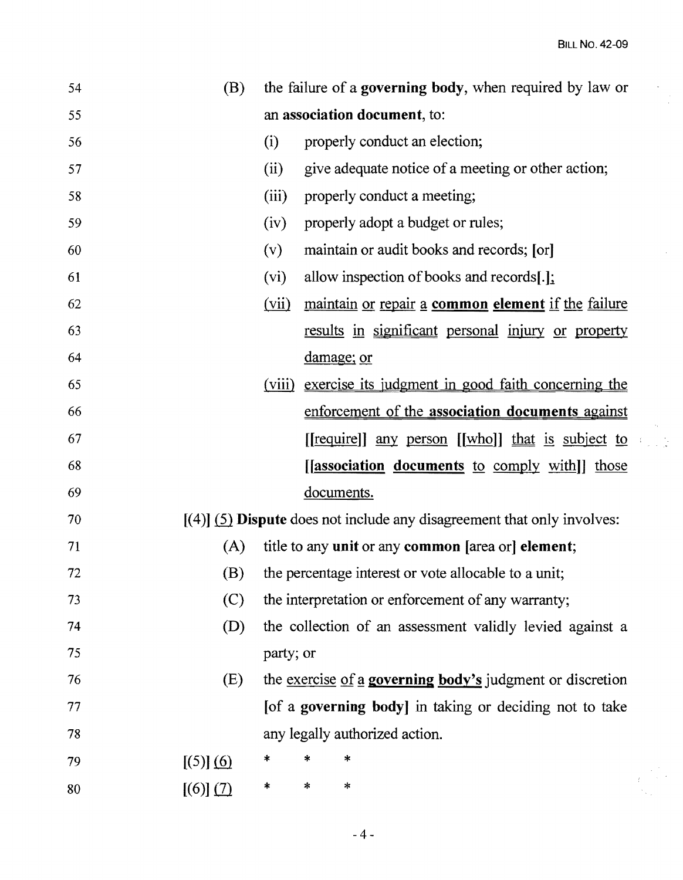$\ddot{\phantom{0}}$  $\frac{1}{2}$ 

 $\hat{\boldsymbol{\beta}}$ 

j.

 $\frac{1}{2}$  $\gamma_{\rm{max}}$ 

| 54     | (B)       | the failure of a governing body, when required by law or |   |                                                                           |
|--------|-----------|----------------------------------------------------------|---|---------------------------------------------------------------------------|
| 55     |           | an association document, to:                             |   |                                                                           |
| 56     |           | (i)                                                      |   | properly conduct an election;                                             |
| 57     |           | (ii)                                                     |   | give adequate notice of a meeting or other action;                        |
| 58     |           | (iii)                                                    |   | properly conduct a meeting;                                               |
| 59     |           | (iv)                                                     |   | properly adopt a budget or rules;                                         |
| 60     |           | (v)                                                      |   | maintain or audit books and records; [or]                                 |
| 61     |           | (vi)                                                     |   | allow inspection of books and records[ $.$ ]:                             |
| 62     |           | (vii)                                                    |   | maintain or repair a common element if the failure                        |
| 63     |           |                                                          |   | results in significant personal injury or property                        |
| 64     |           |                                                          |   | damage; or                                                                |
| 65     |           | (viii)                                                   |   | exercise its judgment in good faith concerning the                        |
| 66     |           |                                                          |   | enforcement of the association documents against                          |
| 67     |           |                                                          |   | [[require]] any person [[who]] that is subject to                         |
| 68     |           |                                                          |   | [[association documents to comply with]] those                            |
| 69     |           |                                                          |   | documents.                                                                |
| 70     |           |                                                          |   | $[(4)]$ (5) Dispute does not include any disagreement that only involves: |
| 71     | (A)       |                                                          |   | title to any unit or any common [area or] element;                        |
| $72\,$ | (B)       | the percentage interest or vote allocable to a unit;     |   |                                                                           |
| 73     | (C)       | the interpretation or enforcement of any warranty;       |   |                                                                           |
| 74     | (D)       | the collection of an assessment validly levied against a |   |                                                                           |
| 75     |           | party; or                                                |   |                                                                           |
| 76     | (E)       |                                                          |   | the <u>exercise of a governing body's</u> judgment or discretion          |
| 77     |           | [of a governing body] in taking or deciding not to take  |   |                                                                           |
| 78     |           | any legally authorized action.                           |   |                                                                           |
| 79     | [(5)] (6) | ∗                                                        |   | *                                                                         |
| 80     | [(6)] (7) | $\ast$                                                   | * | $\star$                                                                   |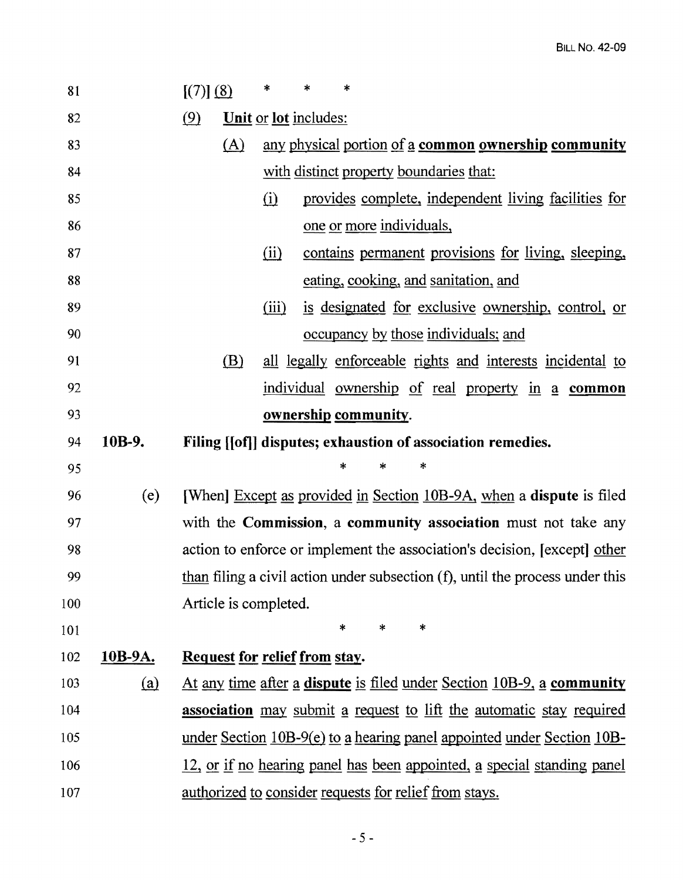| 81  |         | [(7)] (8)                                                                        | ∗                                                           | *                                                    | $\ast$               |                                                                               |
|-----|---------|----------------------------------------------------------------------------------|-------------------------------------------------------------|------------------------------------------------------|----------------------|-------------------------------------------------------------------------------|
| 82  |         | (9)                                                                              | <b>Unit or lot includes:</b>                                |                                                      |                      |                                                                               |
| 83  |         | (A)                                                                              |                                                             |                                                      |                      | any physical portion of a common ownership community                          |
| 84  |         |                                                                                  | with distinct property boundaries that:                     |                                                      |                      |                                                                               |
| 85  |         |                                                                                  | $\Omega$                                                    | provides complete, independent living facilities for |                      |                                                                               |
| 86  |         |                                                                                  | one or more individuals,                                    |                                                      |                      |                                                                               |
| 87  |         |                                                                                  | contains permanent provisions for living, sleeping,<br>(ii) |                                                      |                      |                                                                               |
| 88  |         |                                                                                  |                                                             |                                                      |                      | eating, cooking, and sanitation, and                                          |
| 89  |         |                                                                                  | is designated for exclusive ownership, control, or<br>(iii) |                                                      |                      |                                                                               |
| 90  |         |                                                                                  |                                                             |                                                      |                      | occupancy by those individuals; and                                           |
| 91  |         | (B)                                                                              |                                                             |                                                      |                      | all legally enforceable rights and interests incidental to                    |
| 92  |         |                                                                                  |                                                             |                                                      |                      | <u>individual ownership of real property in a common</u>                      |
| 93  |         |                                                                                  |                                                             |                                                      | ownership community. |                                                                               |
| 94  | 10B-9.  |                                                                                  |                                                             |                                                      |                      | Filing [[of]] disputes; exhaustion of association remedies.                   |
| 95  |         |                                                                                  |                                                             |                                                      |                      |                                                                               |
| 96  | (e)     |                                                                                  |                                                             |                                                      |                      | [When] Except as provided in Section 10B-9A, when a dispute is filed          |
| 97  |         |                                                                                  |                                                             |                                                      |                      | with the <b>Commission</b> , a <b>community association</b> must not take any |
| 98  |         | action to enforce or implement the association's decision, [except] other        |                                                             |                                                      |                      |                                                                               |
| 99  |         | than filing a civil action under subsection $(f)$ , until the process under this |                                                             |                                                      |                      |                                                                               |
| 100 |         | Article is completed.                                                            |                                                             |                                                      |                      |                                                                               |
| 101 |         |                                                                                  |                                                             |                                                      | $\ast$<br>$\ast$     | $\ast$                                                                        |
| 102 | 10B-9A. | Request for relief from stay.                                                    |                                                             |                                                      |                      |                                                                               |
| 103 | (a)     |                                                                                  |                                                             |                                                      |                      | At any time after a dispute is filed under Section 10B-9, a community         |
| 104 |         |                                                                                  |                                                             |                                                      |                      | association may submit a request to lift the automatic stay required          |
| 105 |         |                                                                                  |                                                             |                                                      |                      | under Section 10B-9(e) to a hearing panel appointed under Section 10B-        |
| 106 |         |                                                                                  |                                                             |                                                      |                      | 12, or if no hearing panel has been appointed, a special standing panel       |
| 107 |         |                                                                                  |                                                             |                                                      |                      | <u>authorized to consider requests for relief from stays.</u>                 |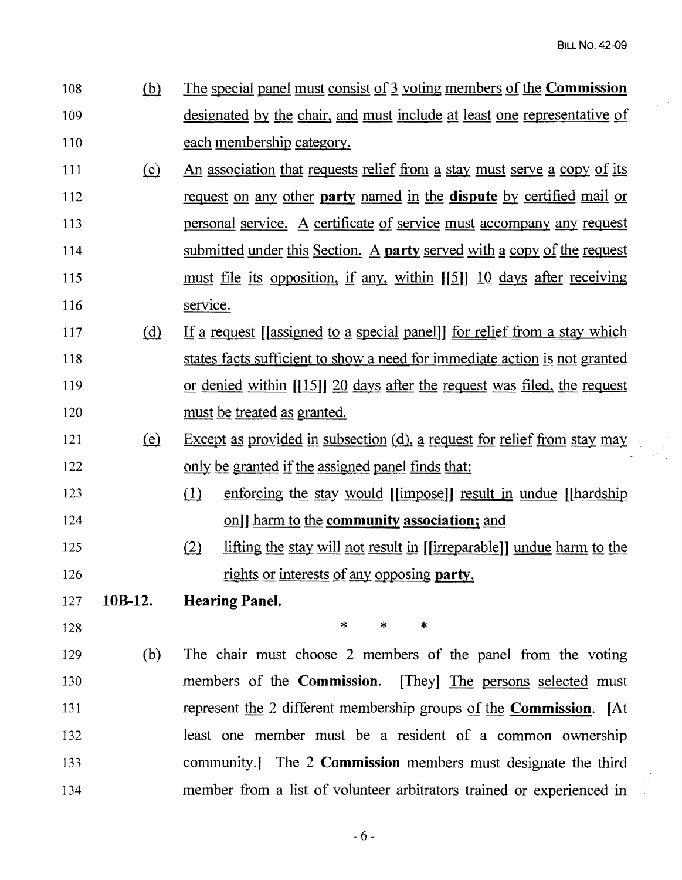- 108 (b) The special panel must consist of 3 voting members of the **Commission** 109 designated by the chair, and must include at least one representative of 110 each membership category.
- 111 (c) An association that requests relief from a stay must serve a copy of its 112 request on any other party named in the dispute by certified mail or 113 **personal service.** A certificate of service must accompany any request 114 submitted under this Section. A **party** served with a copy of the request 115 must file its opposition, if any, within  $\lfloor |5| \rfloor$  10 days after receiving 116 service.
- 117 (d) If a request [[assigned to a special panel]] for relief from a stay which 118 states facts sufficient to show a need for immediate action is not granted 119 or denied within [[15]] 20 days after the request was filed, the request 120 must be treated as granted.
- 121 (e) Except as provided in subsection (d), a request for relief from stay may 122 only be granted if the assigned panel finds that:
- 123 (1) enforcing the stay would [[impose]] result in undue [[hardship 124 ... [124] ... [124] ... [124] ... [124] ... [124] ... [124] ... [124] ... [125] ... [126] ... [126] ... [126] ... [126] ... [126] ... [126] ... [126] ... [126] ... [126] ... [126] ... [126] ... [126] ... [126] ... [126
- 125 (2) lifting the stay will not result in [[irreparable]] undue harm to the 126 rights or interests of any opposing party.
- 127 lOB-l2. Hearing Panel.
- 

 $128$  \* \* \* \*

129 (b) The chair must choose 2 members of the panel from the voting 130 members of the Commission. [They] The persons selected must 131 represent the 2 different membership groups of the **Commission**. [At 132 least one member must be a resident of a common ownership 133 community.] The 2 Commission members must designate the third 134 member from a list of volunteer arbitrators trained or experienced in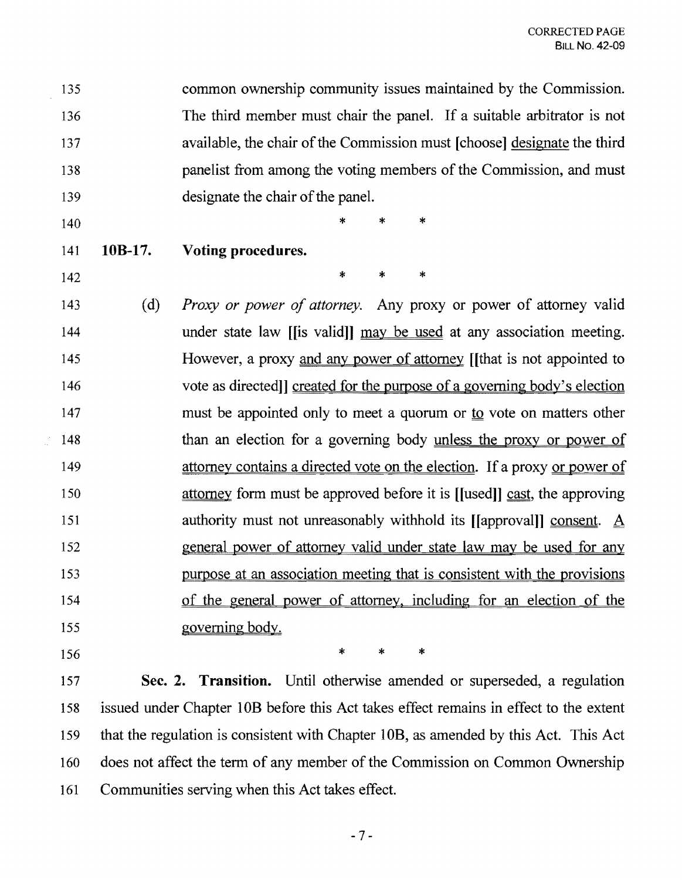135 common ownership community issues maintained by the Commission. 136 The third member must chair the panel. If a suitable arbitrator is not 137 available, the chair of the Commission must [choose] designate the third 138 panelist from among the voting members of the Commission, and must 139 designate the chair of the panel.

- 
- $140$  \* \* \*
- 141 **IOB-17. Voting procedures.**

- $142$  \* \* \* 143 (d) *Proxy or power of attorney\_* Any proxy or power of attorney valid 144 under state law [[is valid]] may be used at any association meeting. 145 However, a proxy and any power of attorney [[that is not appointed to 146 vote as directed] created for the purpose of a governing body's election 147 must be appointed only to meet a quorum or <u>to</u> vote on matters other 148 than an election for a governing body unless the proxy or power of 149 attorney contains a directed vote on the election. If a proxy or power of 150 attorney form must be approved before it is ([used]] cast, the approving 151 authority must not unreasonably withhold its [[approval]] consent. A 152 general power of attorney valid under state law may be used for any 153 purpose at an association meeting that is consistent with the provisions 154 of the general power of attorney, including for an election of the 155 governing body.
- 

 $156$  \* \* \*

157 **Sec. 2. Transition.** Until otherwise amended or superseded, a regulation 158 issued under Chapter lOB before this Act takes effect remains in effect to the extent 159 that the regulation is consistent with Chapter lOB, as amended by this Act. This Act 160 does not affect the term of any member of the Commission on Common Ownership 161 Communities serving when this Act takes effect.